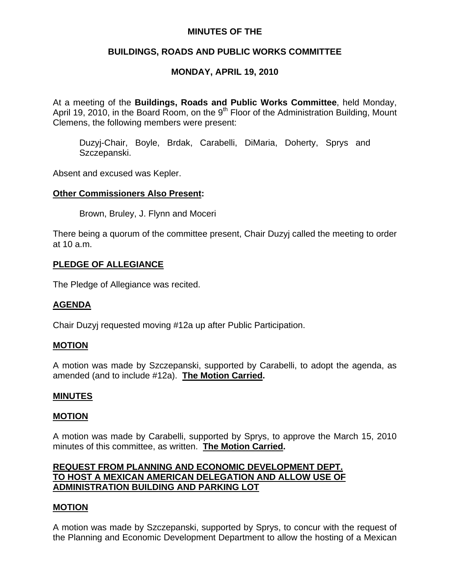# **MINUTES OF THE**

# **BUILDINGS, ROADS AND PUBLIC WORKS COMMITTEE**

# **MONDAY, APRIL 19, 2010**

At a meeting of the **Buildings, Roads and Public Works Committee**, held Monday, April 19, 2010, in the Board Room, on the  $9<sup>th</sup>$  Floor of the Administration Building, Mount Clemens, the following members were present:

Duzyj-Chair, Boyle, Brdak, Carabelli, DiMaria, Doherty, Sprys and Szczepanski.

Absent and excused was Kepler.

## **Other Commissioners Also Present:**

Brown, Bruley, J. Flynn and Moceri

There being a quorum of the committee present, Chair Duzyj called the meeting to order at 10 a.m.

## **PLEDGE OF ALLEGIANCE**

The Pledge of Allegiance was recited.

## **AGENDA**

Chair Duzyj requested moving #12a up after Public Participation.

## **MOTION**

A motion was made by Szczepanski, supported by Carabelli, to adopt the agenda, as amended (and to include #12a). **The Motion Carried.** 

## **MINUTES**

#### **MOTION**

A motion was made by Carabelli, supported by Sprys, to approve the March 15, 2010 minutes of this committee, as written. **The Motion Carried.** 

# **REQUEST FROM PLANNING AND ECONOMIC DEVELOPMENT DEPT. TO HOST A MEXICAN AMERICAN DELEGATION AND ALLOW USE OF ADMINISTRATION BUILDING AND PARKING LOT**

## **MOTION**

A motion was made by Szczepanski, supported by Sprys, to concur with the request of the Planning and Economic Development Department to allow the hosting of a Mexican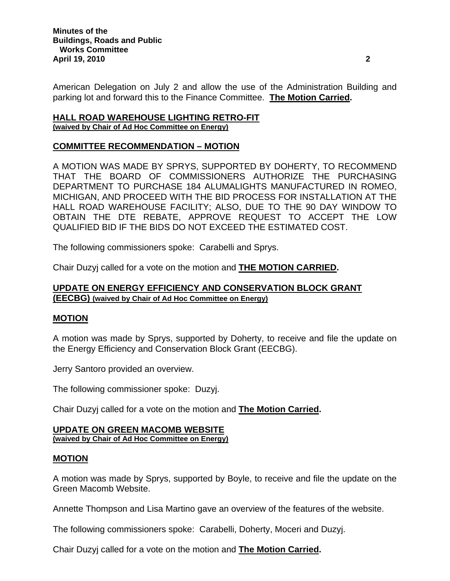American Delegation on July 2 and allow the use of the Administration Building and parking lot and forward this to the Finance Committee. **The Motion Carried.** 

## **HALL ROAD WAREHOUSE LIGHTING RETRO-FIT (waived by Chair of Ad Hoc Committee on Energy)**

## **COMMITTEE RECOMMENDATION – MOTION**

A MOTION WAS MADE BY SPRYS, SUPPORTED BY DOHERTY, TO RECOMMEND THAT THE BOARD OF COMMISSIONERS AUTHORIZE THE PURCHASING DEPARTMENT TO PURCHASE 184 ALUMALIGHTS MANUFACTURED IN ROMEO, MICHIGAN, AND PROCEED WITH THE BID PROCESS FOR INSTALLATION AT THE HALL ROAD WAREHOUSE FACILITY; ALSO, DUE TO THE 90 DAY WINDOW TO OBTAIN THE DTE REBATE, APPROVE REQUEST TO ACCEPT THE LOW QUALIFIED BID IF THE BIDS DO NOT EXCEED THE ESTIMATED COST.

The following commissioners spoke: Carabelli and Sprys.

Chair Duzyj called for a vote on the motion and **THE MOTION CARRIED.** 

# **UPDATE ON ENERGY EFFICIENCY AND CONSERVATION BLOCK GRANT (EECBG) (waived by Chair of Ad Hoc Committee on Energy)**

# **MOTION**

A motion was made by Sprys, supported by Doherty, to receive and file the update on the Energy Efficiency and Conservation Block Grant (EECBG).

Jerry Santoro provided an overview.

The following commissioner spoke: Duzyj.

Chair Duzyj called for a vote on the motion and **The Motion Carried.** 

#### **UPDATE ON GREEN MACOMB WEBSITE (waived by Chair of Ad Hoc Committee on Energy)**

# **MOTION**

A motion was made by Sprys, supported by Boyle, to receive and file the update on the Green Macomb Website.

Annette Thompson and Lisa Martino gave an overview of the features of the website.

The following commissioners spoke: Carabelli, Doherty, Moceri and Duzyj.

Chair Duzyj called for a vote on the motion and **The Motion Carried.**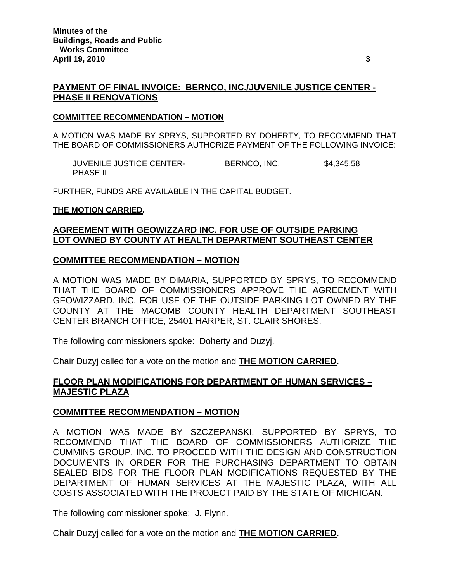# **PAYMENT OF FINAL INVOICE: BERNCO, INC./JUVENILE JUSTICE CENTER - PHASE II RENOVATIONS**

#### **COMMITTEE RECOMMENDATION – MOTION**

A MOTION WAS MADE BY SPRYS, SUPPORTED BY DOHERTY, TO RECOMMEND THAT THE BOARD OF COMMISSIONERS AUTHORIZE PAYMENT OF THE FOLLOWING INVOICE:

JUVENILE JUSTICE CENTER-<br>BERNCO, INC. \$4,345.58 PHASE II

FURTHER, FUNDS ARE AVAILABLE IN THE CAPITAL BUDGET.

#### **THE MOTION CARRIED.**

# **AGREEMENT WITH GEOWIZZARD INC. FOR USE OF OUTSIDE PARKING LOT OWNED BY COUNTY AT HEALTH DEPARTMENT SOUTHEAST CENTER**

#### **COMMITTEE RECOMMENDATION – MOTION**

A MOTION WAS MADE BY DiMARIA, SUPPORTED BY SPRYS, TO RECOMMEND THAT THE BOARD OF COMMISSIONERS APPROVE THE AGREEMENT WITH GEOWIZZARD, INC. FOR USE OF THE OUTSIDE PARKING LOT OWNED BY THE COUNTY AT THE MACOMB COUNTY HEALTH DEPARTMENT SOUTHEAST CENTER BRANCH OFFICE, 25401 HARPER, ST. CLAIR SHORES.

The following commissioners spoke: Doherty and Duzyj.

Chair Duzyj called for a vote on the motion and **THE MOTION CARRIED.** 

# **FLOOR PLAN MODIFICATIONS FOR DEPARTMENT OF HUMAN SERVICES – MAJESTIC PLAZA**

## **COMMITTEE RECOMMENDATION – MOTION**

A MOTION WAS MADE BY SZCZEPANSKI, SUPPORTED BY SPRYS, TO RECOMMEND THAT THE BOARD OF COMMISSIONERS AUTHORIZE THE CUMMINS GROUP, INC. TO PROCEED WITH THE DESIGN AND CONSTRUCTION DOCUMENTS IN ORDER FOR THE PURCHASING DEPARTMENT TO OBTAIN SEALED BIDS FOR THE FLOOR PLAN MODIFICATIONS REQUESTED BY THE DEPARTMENT OF HUMAN SERVICES AT THE MAJESTIC PLAZA, WITH ALL COSTS ASSOCIATED WITH THE PROJECT PAID BY THE STATE OF MICHIGAN.

The following commissioner spoke: J. Flynn.

Chair Duzyj called for a vote on the motion and **THE MOTION CARRIED.**